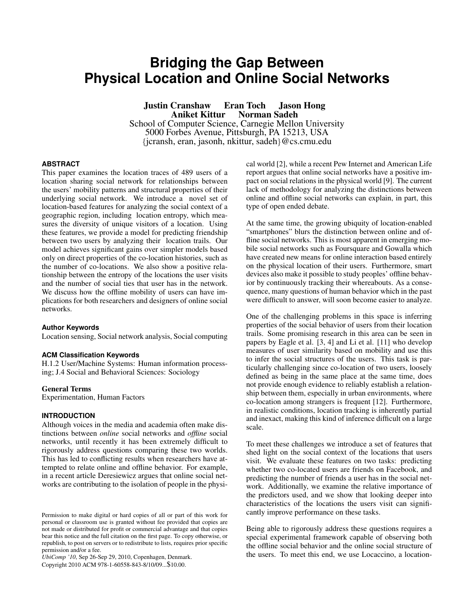# **Bridging the Gap Between Physical Location and Online Social Networks**

Justin Cranshaw Eran Toch Jason Hong Norman Sadeh School of Computer Science, Carnegie Mellon University 5000 Forbes Avenue, Pittsburgh, PA 15213, USA

{jcransh, eran, jasonh, nkittur, sadeh}@cs.cmu.edu

#### **ABSTRACT**

This paper examines the location traces of 489 users of a location sharing social network for relationships between the users' mobility patterns and structural properties of their underlying social network. We introduce a novel set of location-based features for analyzing the social context of a geographic region, including location entropy, which measures the diversity of unique visitors of a location. Using these features, we provide a model for predicting friendship between two users by analyzing their location trails. Our model achieves significant gains over simpler models based only on direct properties of the co-location histories, such as the number of co-locations. We also show a positive relationship between the entropy of the locations the user visits and the number of social ties that user has in the network. We discuss how the offline mobility of users can have implications for both researchers and designers of online social networks.

#### **Author Keywords**

Location sensing, Social network analysis, Social computing

#### **ACM Classification Keywords**

H.1.2 User/Machine Systems: Human information processing; J.4 Social and Behavioral Sciences: Sociology

#### General Terms

Experimentation, Human Factors

## **INTRODUCTION**

Although voices in the media and academia often make distinctions between *online* social networks and *offline* social networks, until recently it has been extremely difficult to rigorously address questions comparing these two worlds. This has led to conflicting results when researchers have attempted to relate online and offline behavior. For example, in a recent article Deresiewicz argues that online social networks are contributing to the isolation of people in the physi-

*UbiComp '10*, Sep 26-Sep 29, 2010, Copenhagen, Denmark.

Copyright 2010 ACM 978-1-60558-843-8/10/09...\$10.00.

cal world [\[2\]](#page-9-0), while a recent Pew Internet and American Life report argues that online social networks have a positive impact on social relations in the physical world [\[9\]](#page-9-1). The current lack of methodology for analyzing the distinctions between online and offline social networks can explain, in part, this type of open ended debate.

At the same time, the growing ubiquity of location-enabled "smartphones" blurs the distinction between online and offline social networks. This is most apparent in emerging mobile social networks such as Foursquare and Gowalla which have created new means for online interaction based entirely on the physical location of their users. Furthermore, smart devices also make it possible to study peoples' offline behavior by continuously tracking their whereabouts. As a consequence, many questions of human behavior which in the past were difficult to answer, will soon become easier to analyze.

One of the challenging problems in this space is inferring properties of the social behavior of users from their location trails. Some promising research in this area can be seen in papers by Eagle et al. [\[3,](#page-9-2) [4\]](#page-9-3) and Li et al. [\[11\]](#page-9-4) who develop measures of user similarity based on mobility and use this to infer the social structures of the users. This task is particularly challenging since co-location of two users, loosely defined as being in the same place at the same time, does not provide enough evidence to reliably establish a relationship between them, especially in urban environments, where co-location among strangers is frequent [\[12\]](#page-9-5). Furthermore, in realistic conditions, location tracking is inherently partial and inexact, making this kind of inference difficult on a large scale.

To meet these challenges we introduce a set of features that shed light on the social context of the locations that users visit. We evaluate these features on two tasks: predicting whether two co-located users are friends on Facebook, and predicting the number of friends a user has in the social network. Additionally, we examine the relative importance of the predictors used, and we show that looking deeper into characteristics of the locations the users visit can significantly improve performance on these tasks.

Being able to rigorously address these questions requires a special experimental framework capable of observing both the offline social behavior and the online social structure of the users. To meet this end, we use Locaccino, a location-

Permission to make digital or hard copies of all or part of this work for personal or classroom use is granted without fee provided that copies are not made or distributed for profit or commercial advantage and that copies bear this notice and the full citation on the first page. To copy otherwise, or republish, to post on servers or to redistribute to lists, requires prior specific permission and/or a fee.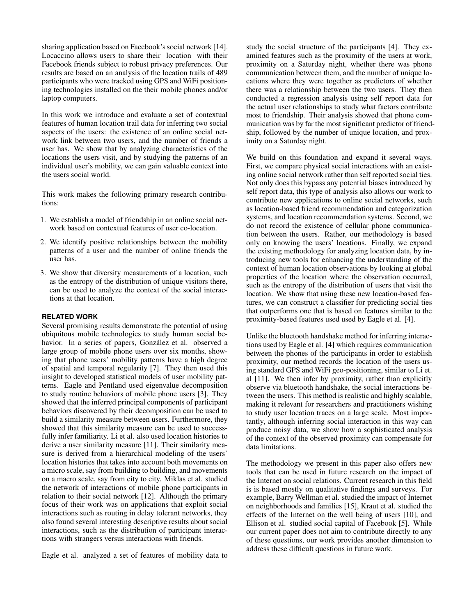sharing application based on Facebook's social network [\[14\]](#page-9-6). Locaccino allows users to share their location with their Facebook friends subject to robust privacy preferences. Our results are based on an analysis of the location trails of 489 participants who were tracked using GPS and WiFi positioning technologies installed on the their mobile phones and/or laptop computers.

In this work we introduce and evaluate a set of contextual features of human location trail data for inferring two social aspects of the users: the existence of an online social network link between two users, and the number of friends a user has. We show that by analyzing characteristics of the locations the users visit, and by studying the patterns of an individual user's mobility, we can gain valuable context into the users social world.

This work makes the following primary research contributions:

- 1. We establish a model of friendship in an online social network based on contextual features of user co-location.
- 2. We identify positive relationships between the mobility patterns of a user and the number of online friends the user has.
- 3. We show that diversity measurements of a location, such as the entropy of the distribution of unique visitors there, can be used to analyze the context of the social interactions at that location.

## **RELATED WORK**

Several promising results demonstrate the potential of using ubiquitous mobile technologies to study human social behavior. In a series of papers, González et al. observed a large group of mobile phone users over six months, showing that phone users' mobility patterns have a high degree of spatial and temporal regularity [\[7\]](#page-9-7). They then used this insight to developed statistical models of user mobility patterns. Eagle and Pentland used eigenvalue decomposition to study routine behaviors of mobile phone users [\[3\]](#page-9-2). They showed that the inferred principal components of participant behaviors discovered by their decomposition can be used to build a similarity measure between users. Furthermore, they showed that this similarity measure can be used to successfully infer familiarity. Li et al. also used location histories to derive a user similarity measure [\[11\]](#page-9-4). Their similarity measure is derived from a hierarchical modeling of the users' location histories that takes into account both movements on a micro scale, say from building to building, and movements on a macro scale, say from city to city. Miklas et al. studied the network of interactions of mobile phone participants in relation to their social network [\[12\]](#page-9-5). Although the primary focus of their work was on applications that exploit social interactions such as routing in delay tolerant networks, they also found several interesting descriptive results about social interactions, such as the distribution of participant interactions with strangers versus interactions with friends.

Eagle et al. analyzed a set of features of mobility data to

study the social structure of the participants [\[4\]](#page-9-3). They examined features such as the proximity of the users at work, proximity on a Saturday night, whether there was phone communication between them, and the number of unique locations where they were together as predictors of whether there was a relationship between the two users. They then conducted a regression analysis using self report data for the actual user relationships to study what factors contribute most to friendship. Their analysis showed that phone communication was by far the most significant predictor of friendship, followed by the number of unique location, and proximity on a Saturday night.

We build on this foundation and expand it several ways. First, we compare physical social interactions with an existing online social network rather than self reported social ties. Not only does this bypass any potential biases introduced by self report data, this type of analysis also allows our work to contribute new applications to online social networks, such as location-based friend recommendation and categorization systems, and location recommendation systems. Second, we do not record the existence of cellular phone communication between the users. Rather, our methodology is based only on knowing the users' locations. Finally, we expand the existing methodology for analyzing location data, by introducing new tools for enhancing the understanding of the context of human location observations by looking at global properties of the location where the observation occurred, such as the entropy of the distribution of users that visit the location. We show that using these new location-based features, we can construct a classifier for predicting social ties that outperforms one that is based on features similar to the proximity-based features used used by Eagle et al. [\[4\]](#page-9-3).

Unlike the bluetooth handshake method for inferring interactions used by Eagle et al. [\[4\]](#page-9-3) which requires communication between the phones of the participants in order to establish proximity, our method records the location of the users using standard GPS and WiFi geo-positioning, similar to Li et. al [\[11\]](#page-9-4). We then infer by proximity, rather than explicitly observe via bluetooth handshake, the social interactions between the users. This method is realistic and highly scalable, making it relevant for researchers and practitioners wishing to study user location traces on a large scale. Most importantly, although inferring social interaction in this way can produce noisy data, we show how a sophisticated analysis of the context of the observed proximity can compensate for data limitations.

The methodology we present in this paper also offers new tools that can be used in future research on the impact of the Internet on social relations. Current research in this field is is based mostly on qualitative findings and surveys. For example, Barry Wellman et al. studied the impact of Internet on neighborhoods and families [\[15\]](#page-9-8), Kraut et al. studied the effects of the Internet on the well being of users [\[10\]](#page-9-9), and Ellison et al. studied social capital of Facebook [\[5\]](#page-9-10). While our current paper does not aim to contribute directly to any of these questions, our work provides another dimension to address these difficult questions in future work.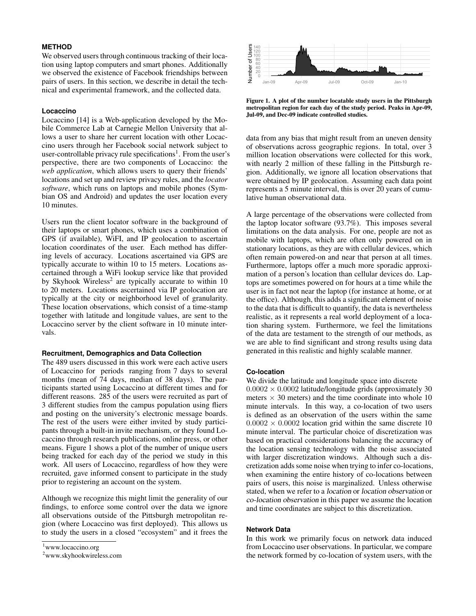# **METHOD**

We observed users through continuous tracking of their location using laptop computers and smart phones. Additionally we observed the existence of Facebook friendships between pairs of users. In this section, we describe in detail the technical and experimental framework, and the collected data.

## **Locaccino**

Locaccino [\[14\]](#page-9-6) is a Web-application developed by the Mobile Commerce Lab at Carnegie Mellon University that allows a user to share her current location with other Locaccino users through her Facebook social network subject to user-controllable privacy rule specifications<sup>[1](#page-2-0)</sup>. From the user's perspective, there are two components of Locaccino: the *web application*, which allows users to query their friends' locations and set up and review privacy rules, and the *locator software*, which runs on laptops and mobile phones (Symbian OS and Android) and updates the user location every 10 minutes.

Users run the client locator software in the background of their laptops or smart phones, which uses a combination of GPS (if available), WiFI, and IP geolocation to ascertain location coordinates of the user. Each method has differing levels of accuracy. Locations ascertained via GPS are typically accurate to within 10 to 15 meters. Locations ascertained through a WiFi lookup service like that provided by Skyhook Wireless<sup>[2](#page-2-1)</sup> are typically accurate to within 10 to 20 meters. Locations ascertained via IP geolocation are typically at the city or neighborhood level of granularity. These location observations, which consist of a time-stamp together with latitude and longitude values, are sent to the Locaccino server by the client software in 10 minute intervals.

#### **Recruitment, Demographics and Data Collection**

The 489 users discussed in this work were each active users of Locaccino for periods ranging from 7 days to several months (mean of 74 days, median of 38 days). The participants started using Locaccino at different times and for different reasons. 285 of the users were recruited as part of 3 different studies from the campus population using fliers and posting on the university's electronic message boards. The rest of the users were either invited by study participants through a built-in invite mechanism, or they found Locaccino through research publications, online press, or other means. Figure [1](#page-2-2) shows a plot of the number of unique users being tracked for each day of the period we study in this work. All users of Locaccino, regardless of how they were recruited, gave informed consent to participate in the study prior to registering an account on the system.

Although we recognize this might limit the generality of our findings, to enforce some control over the data we ignore all observations outside of the Pittsburgh metropolitan region (where Locaccino was first deployed). This allows us to study the users in a closed "ecosystem" and it frees the



<span id="page-2-2"></span>Figure 1. A plot of the number locatable study users in the Pittsburgh metropolitan region for each day of the study period. Peaks in Apr-09, Jul-09, and Dec-09 indicate controlled studies.

data from any bias that might result from an uneven density of observations across geographic regions. In total, over 3 million location observations were collected for this work, with nearly 2 million of these falling in the Pittsburgh region. Additionally, we ignore all location observations that were obtained by IP geolocation. Assuming each data point represents a 5 minute interval, this is over 20 years of cumulative human observational data.

A large percentage of the observations were collected from the laptop locator software (93.7%). This imposes several limitations on the data analysis. For one, people are not as mobile with laptops, which are often only powered on in stationary locations, as they are with cellular devices, which often remain powered-on and near that person at all times. Furthermore, laptops offer a much more sporadic approximation of a person's location than cellular devices do. Laptops are sometimes powered on for hours at a time while the user is in fact not near the laptop (for instance at home, or at the office). Although, this adds a significant element of noise to the data that is difficult to quantify, the data is nevertheless realistic, as it represents a real world deployment of a location sharing system. Furthermore, we feel the limitations of the data are testament to the strength of our methods, as we are able to find significant and strong results using data generated in this realistic and highly scalable manner.

#### **Co-location**

We divide the latitude and longitude space into discrete  $0.0002 \times 0.0002$  latitude/longitude grids (approximately 30 meters  $\times$  30 meters) and the time coordinate into whole 10 minute intervals. In this way, a co-location of two users is defined as an observation of the users within the same  $0.0002 \times 0.0002$  location grid within the same discrete 10 minute interval. The particular choice of discretization was based on practical considerations balancing the accuracy of the location sensing technology with the noise associated with larger discretization windows. Although such a discretization adds some noise when trying to infer co-locations, when examining the entire history of co-locations between pairs of users, this noise is marginalized. Unless otherwise stated, when we refer to a location or location observation or co-location observation in this paper we assume the location and time coordinates are subject to this discretization.

## **Network Data**

In this work we primarily focus on network data induced from Locaccino user observations. In particular, we compare the network formed by co-location of system users, with the

<span id="page-2-0"></span><sup>&</sup>lt;sup>1</sup>www.locaccino.org

<span id="page-2-1"></span><sup>2</sup>www.skyhookwireless.com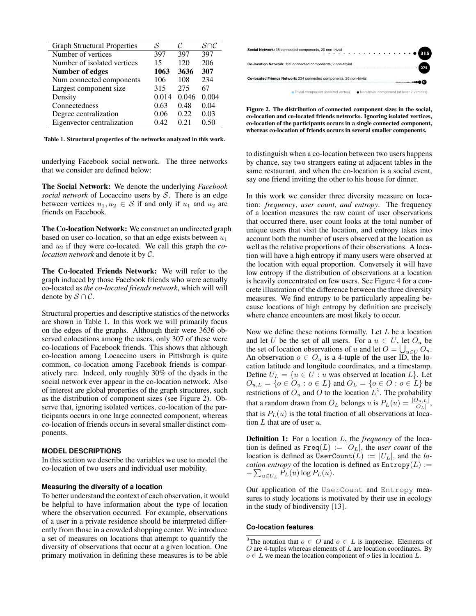| <b>Graph Structural Properties</b> | S     | ('    | $S \cap C$ |
|------------------------------------|-------|-------|------------|
| Number of vertices                 | 397   | 397   | 397        |
| Number of isolated vertices        | 15    | 120   | 206        |
| Number of edges                    | 1063  | 3636  | 307        |
| Num connected components           | 106   | 108   | 234        |
| Largest component size             | 315   | 275   | 67         |
| Density                            | 0.014 | 0.046 | 0.004      |
| Connectedness                      | 0.63  | 0.48  | 0.04       |
| Degree centralization              | 0.06  | 0.22  | 0.03       |
| Eigenvector centralization         | 0.42  | 0.21  | 0.50       |

<span id="page-3-0"></span>Table 1. Structural properties of the networks analyzed in this work.

underlying Facebook social network. The three networks that we consider are defined below:

The Social Network: We denote the underlying *Facebook social network* of Locaccino users by S. There is an edge between vertices  $u_1, u_2 \in S$  if and only if  $u_1$  and  $u_2$  are friends on Facebook.

The Co-location Network: We construct an undirected graph based on user co-location, so that an edge exists between  $u_1$ and  $u_2$  if they were co-located. We call this graph the *colocation network* and denote it by C.

The Co-located Friends Network: We will refer to the graph induced by those Facebook friends who were actually co-located as *the co-located friends network*, which will will denote by  $S \cap C$ .

Structural properties and descriptive statistics of the networks are shown in Table [1.](#page-3-0) In this work we will primarily focus on the edges of the graphs. Although their were 3636 observed colocations among the users, only 307 of these were co-locations of Facebook friends. This shows that although co-location among Locaccino users in Pittsburgh is quite common, co-location among Facebook friends is comparatively rare. Indeed, only roughly 30% of the dyads in the social network ever appear in the co-location network. Also of interest are global properties of the graph structures, such as the distribution of component sizes (see Figure [2\)](#page-3-1). Observe that, ignoring isolated vertices, co-location of the participants occurs in one large connected component, whereas co-location of friends occurs in several smaller distinct components.

#### **MODEL DESCRIPTIONS**

In this section we describe the variables we use to model the co-location of two users and individual user mobility.

#### **Measuring the diversity of a location**

To better understand the context of each observation, it would be helpful to have information about the type of location where the observation occurred. For example, observations of a user in a private residence should be interpreted differently from those in a crowded shopping center. We introduce a set of measures on locations that attempt to quantify the diversity of observations that occur at a given location. One primary motivation in defining these measures is to be able



<span id="page-3-1"></span>Figure 2. The distribution of connected component sizes in the social, co-location and co-located friends networks. Ignoring isolated vertices, co-location of the participants occurs in a single connected component, whereas co-location of friends occurs in several smaller components.

to distinguish when a co-location between two users happens by chance, say two strangers eating at adjacent tables in the same restaurant, and when the co-location is a social event, say one friend inviting the other to his house for dinner.

of a location measures the raw count of user observations In this work we consider three diversity measure on location: *frequency*, *user count*, *and entropy*. The frequency that occurred there, user count looks at the total number of unique users that visit the location, and entropy takes into account both the number of users observed at the location as well as the relative proportions of their observations. A location will have a high entropy if many users were observed at the location with equal proportion. Conversely it will have low entropy if the distribution of observations at a location is heavily concentrated on few users. See Figure [4](#page-4-0) for a concrete illustration of the difference between the three diversity measures. We find entropy to be particularly appealing because locations of high entropy by definition are precisely where chance encounters are most likely to occur.

Now we define these notions formally. Let  $L$  be a location and let U be the set of all users. For a  $u \in U$ , let  $O_u$  be the set of location observations of u and let  $O = \bigcup_{u \in U} O_u$ . An observation  $o \in O_u$  is a 4-tuple of the user ID, the location latitude and longitude coordinates, and a timestamp. Define  $U_L = \{u \in U : u$  was observed at location  $L\}$ . Let  $O_{u,L} = \{o \in O_u : o \in L\}$  and  $O_L = \{o \in O : o \in L\}$  be restrictions of  $O_u$  and O to the location  $L^3$  $L^3$ . The probability that a random drawn from  $O_L$  belongs u is  $P_L(u) = \frac{|O_{u,L}|}{|O_L|}$ , that is  $P_L(u)$  is the total fraction of all observations at location  $L$  that are of user  $u$ .

**Definition 1:** For a location L, the *frequency* of the location is defined as  $Freq(L) := |O_L|$ , the *user count* of the location is defined as  $\text{UserCount}(L) := |U_L|$ , and the *location entropy* of the location is defined as  $Entropy(L) :=$  $-\sum_{u\in U_L} P_L(u) \log P_L(u).$ 

Our application of the UserCount and Entropy measures to study locations is motivated by their use in ecology in the study of biodiversity [\[13\]](#page-9-11).

#### **Co-location features**

<span id="page-3-2"></span><sup>&</sup>lt;sup>3</sup>The notation that  $o \in O$  and  $o \in L$  is imprecise. Elements of  $O$  are 4-tuples whereas elements of  $L$  are location coordinates. By  $o \in L$  we mean the location component of  $o$  lies in location  $L$ .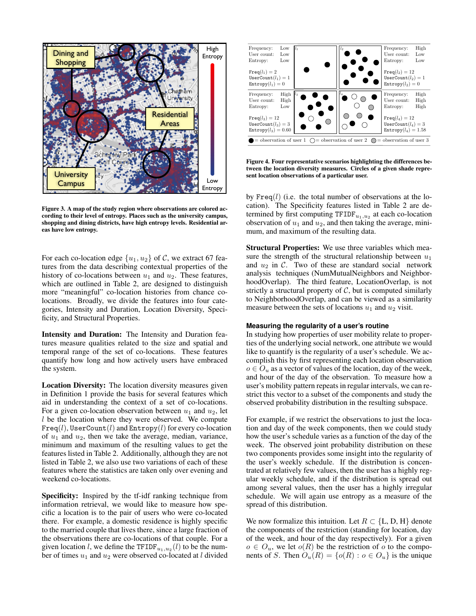

Figure 3. A map of the study region where observations are colored according to their level of entropy. Places such as the university campus, shopping and dining districts, have high entropy levels. Residential areas have low entropy.

For each co-location edge  $\{u_1, u_2\}$  of C, we extract 67 features from the data describing contextual properties of the history of co-locations between  $u_1$  and  $u_2$ . These features, which are outlined in Table [2,](#page-5-0) are designed to distinguish more "meaningful" co-location histories from chance colocations. Broadly, we divide the features into four categories, Intensity and Duration, Location Diversity, Specificity, and Structural Properties.

Intensity and Duration: The Intensity and Duration features measure qualities related to the size and spatial and temporal range of the set of co-locations. These features quantify how long and how actively users have embraced the system.

Location Diversity: The location diversity measures given in Definition 1 provide the basis for several features which aid in understanding the context of a set of co-locations. For a given co-location observation between  $u_1$  and  $u_2$ , let  $l$  be the location where they were observed. We compute  $Freq(l)$ , UserCount $(l)$  and Entropy $(l)$  for every co-location of  $u_1$  and  $u_2$ , then we take the average, median, variance, minimum and maximum of the resulting values to get the features listed in Table [2.](#page-5-0) Additionally, although they are not listed in Table [2,](#page-5-0) we also use two variations of each of these features where the statistics are taken only over evening and weekend co-locations.

Specificity: Inspired by the tf-idf ranking technique from information retrieval, we would like to measure how specific a location is to the pair of users who were co-located there. For example, a domestic residence is highly specific to the married couple that lives there, since a large fraction of the observations there are co-locations of that couple. For a given location *l*, we define the TFIDF $u_1, u_2$  (*l*) to be the number of times  $u_1$  and  $u_2$  were observed co-located at l divided



<span id="page-4-0"></span>Figure 4. Four representative scenarios highlighting the differences between the location diversity measures. Circles of a given shade represent location observations of a particular user.

by  $Freq(l)$  (i.e. the total number of observations at the location). The Specificity features listed in Table [2](#page-5-0) are determined by first computing  $TFIDF_{u_1, u_2}$  at each co-location observation of  $u_1$  and  $u_2$ , and then taking the average, minimum, and maximum of the resulting data.

Structural Properties: We use three variables which measure the strength of the structural relationship between  $u_1$ and  $u_2$  in  $\mathcal{C}$ . Two of these are standard social network analysis techniques (NumMutualNeighbors and NeighborhoodOverlap). The third feature, LocationOverlap, is not strictly a structural property of  $C$ , but is computed similarly to NeighborhoodOverlap, and can be viewed as a similarity measure between the sets of locations  $u_1$  and  $u_2$  visit.

#### **Measuring the regularity of a user's routine**

In studying how properties of user mobility relate to properties of the underlying social network, one attribute we would like to quantify is the regularity of a user's schedule. We accomplish this by first representing each location observation  $o \in O_u$  as a vector of values of the location, day of the week, and hour of the day of the observation. To measure how a user's mobility pattern repeats in regular intervals, we can restrict this vector to a subset of the components and study the observed probability distribution in the resulting subspace.

For example, if we restrict the observations to just the location and day of the week components, then we could study how the user's schedule varies as a function of the day of the week. The observed joint probability distribution on these two components provides some insight into the regularity of the user's weekly schedule. If the distribution is concentrated at relatively few values, then the user has a highly regular weekly schedule, and if the distribution is spread out among several values, then the user has a highly irregular schedule. We will again use entropy as a measure of the spread of this distribution.

We now formalize this intuition. Let  $R \subset \{L, D, H\}$  denote the components of the restriction (standing for location, day of the week, and hour of the day respectively). For a given  $o \in O_u$ , we let  $o(R)$  be the restriction of o to the components of S. Then  $O_u(R) = \{o(R) : o \in O_u\}$  is the unique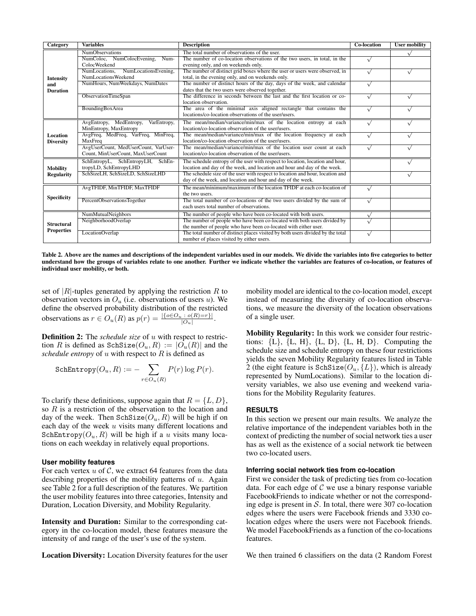| Category                                   | <b>Variables</b>                       | <b>Description</b>                                                             | <b>Co-location</b> | <b>User mobility</b> |
|--------------------------------------------|----------------------------------------|--------------------------------------------------------------------------------|--------------------|----------------------|
| <b>Intensity</b><br>and<br><b>Duration</b> | <b>NumObservations</b>                 | The total number of observations of the user.                                  |                    |                      |
|                                            | NumColoc, NumColocEvening,<br>Num-     | The number of co-location observations of the two users, in total, in the      | $\sqrt{}$          |                      |
|                                            | ColocWeekend                           | evening only, and on weekends only.                                            |                    |                      |
|                                            | NumLocationsEvening,<br>NumLocations.  | The number of distinct grid boxes where the user or users were observed, in    | $\sqrt{ }$         | $\sqrt{}$            |
|                                            | NumLocationsWeekend                    | total, in the evening only, and on weekends only.                              |                    |                      |
|                                            | NumHours, NumWeekdays, NumDates        | The number of distinct hours of the day, days of the week, and calendar        | $\sqrt{}$          |                      |
|                                            |                                        | dates that the two users were observed together.                               |                    |                      |
|                                            | <b>ObservationTimeSpan</b>             | The difference in seconds between the last and the first location or co-       | $\sqrt{}$          |                      |
|                                            |                                        | location observation.                                                          |                    |                      |
|                                            | BoundingBoxArea                        | The area of the minimal axis aligned rectangle that contains the               |                    |                      |
|                                            |                                        | locations/co-location observations of the user/users.                          |                    |                      |
| Location<br><b>Diversity</b>               | AvgEntropy, MedEntropy,<br>VarEntropy, | The mean/median/variance/min/max of the location entropy at each               |                    |                      |
|                                            | MinEntropy, MaxEntropy                 | location/co-location observation of the user/users.                            |                    |                      |
|                                            | AvgFreq, MedFreq, VarFreq, MinFreq,    | The mean/median/variance/min/max of the location frequency at each             |                    |                      |
|                                            | MaxFreq                                | location/co-location observation of the user/users.                            |                    |                      |
|                                            | AvgUserCount, MedUserCount, VarUser-   | The mean/median/variance/min/max of the location user count at each            |                    |                      |
|                                            | Count, MinUserCount, MaxUserCount      | location/co-location observation of the user/users.                            |                    |                      |
|                                            | SchEntropyL, SchEntropyLH,<br>SchEn-   | The schedule entropy of the user with respect to location, location and hour,  |                    |                      |
| <b>Mobility</b>                            | tropyLD, SchEntropyLHD                 | location and day of the week, and location and hour and day of the week.       |                    |                      |
| <b>Regularity</b>                          | SchSizeLH, SchSizeLD, SchSizeLHD       | The schedule size of the user with respect to location and hour, location and  |                    |                      |
|                                            |                                        | day of the week, and location and hour and day of the week.                    |                    |                      |
|                                            | AvgTFIDF, MinTFIDF, MaxTFIDF           | The mean/minimum/maximum of the location TFIDF at each co-location of          |                    |                      |
|                                            |                                        | the two users.                                                                 |                    |                      |
| Specificity                                | PercentObservationsTogether            | The total number of co-locations of the two users divided by the sum of        | $\sqrt{}$          |                      |
|                                            |                                        | each users total number of observations.                                       |                    |                      |
| <b>Structural</b><br><b>Properties</b>     | NumMutualNeighbors                     | The number of people who have been co-located with both users.                 | $\sqrt{ }$         |                      |
|                                            | NeighborhoodOverlap                    | The number of people who have been co-located with both users divided by       |                    |                      |
|                                            |                                        | the number of people who have been co-located with either user.                |                    |                      |
|                                            | LocationOverlap                        | The total number of distinct places visited by both users divided by the total | $\sqrt{ }$         |                      |
|                                            |                                        | number of places visited by either users.                                      |                    |                      |

<span id="page-5-0"></span>Table 2. Above are the names and descriptions of the independent variables used in our models. We divide the variables into five categories to better understand how the groups of variables relate to one another. Further we indicate whether the variables are features of co-location, or features of individual user mobility, or both.

set of  $|R|$ -tuples generated by applying the restriction R to observation vectors in  $O_u$  (i.e. observations of users u). We define the observed probability distribution of the restricted observations as  $r \in O_u(R)$  as  $p(r) = \frac{|\{o \in O_u : o(R) = r\}|}{|O_u|}$ .

Definition 2: The *schedule size* of u with respect to restriction R is defined as  $\text{SchSize}(O_u, R) := |O_u(R)|$  and the *schedule entropy* of  $u$  with respect to  $R$  is defined as

$$
\text{SchEntropy}(O_u, R) := -\sum_{r \in O_u(R)} P(r) \log P(r).
$$

To clarify these definitions, suppose again that  $R = \{L, D\},\$ so R is a restriction of the observation to the location and day of the week. Then  $SchSize(O_u, R)$  will be high if on each day of the week  $u$  visits many different locations and SchEntropy( $O_u$ , R) will be high if a u visits many locations on each weekday in relatively equal proportions.

## **User mobility features**

For each vertex  $u$  of  $C$ , we extract 64 features from the data describing properties of the mobility patterns of  $u$ . Again see Table [2](#page-5-0) for a full description of the features. We partition the user mobility features into three categories, Intensity and Duration, Location Diversity, and Mobility Regularity.

Intensity and Duration: Similar to the corresponding category in the co-location model, these features measure the intensity of and range of the user's use of the system.

Location Diversity: Location Diversity features for the user

mobility model are identical to the co-location model, except instead of measuring the diversity of co-location observations, we measure the diversity of the location observations of a single user.

Mobility Regularity: In this work we consider four restrictions:  ${L}, {L, H}, {L, D}, {L, H, D}.$  Computing the schedule size and schedule entropy on these four restrictions yields the seven Mobility Regularity features listed in Table [2](#page-5-0) (the eight feature is  $SchSize(O_u, \{L\})$ , which is already represented by NumLocations). Similar to the location diversity variables, we also use evening and weekend variations for the Mobility Regularity features.

#### **RESULTS**

In this section we present our main results. We analyze the relative importance of the independent variables both in the context of predicting the number of social network ties a user has as well as the existence of a social network tie between two co-located users.

#### **Inferring social network ties from co-location**

First we consider the task of predicting ties from co-location data. For each edge of  $C$  we use a binary response variable FacebookFriends to indicate whether or not the corresponding edge is present in  $S$ . In total, there were 307 co-location edges where the users were Facebook friends and 3330 colocation edges where the users were not Facebook friends. We model FacebookFriends as a function of the co-locations features.

We then trained 6 classifiers on the data (2 Random Forest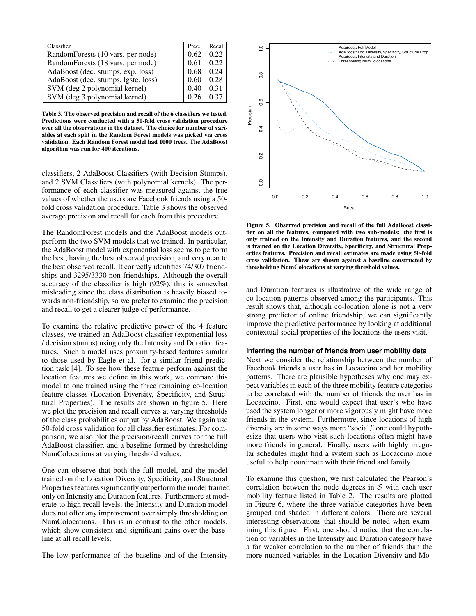| Classifier                          | Prec. | Recall |
|-------------------------------------|-------|--------|
| RandomForests (10 vars. per node)   | 0.62  | 0.22   |
| RandomForests (18 vars. per node)   | 0.61  | 0.22   |
| AdaBoost (dec. stumps, exp. loss)   | 0.68  | 0.24   |
| AdaBoost (dec. stumps, lgstc. loss) | 0.60  | 0.28   |
| SVM (deg 2 polynomial kernel)       | 0.40  | 0.31   |
| SVM (deg 3 polynomial kernel)       |       |        |

<span id="page-6-0"></span>Table 3. The observed precision and recall of the 6 classifiers we tested. Predictions were conducted with a 50-fold cross validation procedure over all the observations in the dataset. The choice for number of variables at each split in the Random Forest models was picked via cross validation. Each Random Forest model had 1000 trees. The AdaBoost algorithm was run for 400 iterations.

classifiers, 2 AdaBoost Classifiers (with Decision Stumps), and 2 SVM Classifiers (with polynomial kernels). The performance of each classifier was measured against the true values of whether the users are Facebook friends using a 50 fold cross validation procedure. Table [3](#page-6-0) shows the observed average precision and recall for each from this procedure.

The RandomForest models and the AdaBoost models outperform the two SVM models that we trained. In particular, the AdaBoost model with exponential loss seems to perform the best, having the best observed precision, and very near to the best observed recall. It correctly identifies 74/307 friendships and 3295/3330 non-friendships. Although the overall accuracy of the classifier is high (92%), this is somewhat misleading since the class distribution is heavily biased towards non-friendship, so we prefer to examine the precision and recall to get a clearer judge of performance.

To examine the relative predictive power of the 4 feature classes, we trained an AdaBoost classifier (exponential loss / decision stumps) using only the Intensity and Duration features. Such a model uses proximity-based features similar to those used by Eagle et al. for a similar friend prediction task [\[4\]](#page-9-3). To see how these feature perform against the location features we define in this work, we compare this model to one trained using the three remaining co-location feature classes (Location Diversity, Specificity, and Structural Properties). The results are shown in figure [5.](#page-6-1) Here we plot the precision and recall curves at varying thresholds of the class probabilities output by AdaBoost. We again use 50-fold cross validation for all classifier estimates. For comparison, we also plot the precision/recall curves for the full AdaBoost classifier, and a baseline formed by thresholding NumColocations at varying threshold values.

One can observe that both the full model, and the model trained on the Location Diversity, Specificity, and Structural Properties features significantly outperform the model trained only on Intensity and Duration features. Furthermore at moderate to high recall levels, the Intensity and Duration model does not offer any improvement over simply thresholding on NumColocations. This is in contrast to the other models, which show consistent and significant gains over the baseline at all recall levels.

The low performance of the baseline and of the Intensity



<span id="page-6-1"></span>Figure 5. Observed precision and recall of the full AdaBoost classifier on all the features, compared with two sub-models: the first is only trained on the Intensity and Duration features, and the second is trained on the Location Diversity, Specificity, and Structural Properties features. Precision and recall estimates are made using 50-fold cross validation. These are shown against a baseline constructed by thresholding NumColocations at varying threshold values.

and Duration features is illustrative of the wide range of co-location patterns observed among the participants. This result shows that, although co-location alone is not a very strong predictor of online friendship, we can significantly improve the predictive performance by looking at additional contextual social properties of the locations the users visit.

#### **Inferring the number of friends from user mobility data**

Next we consider the relationship between the number of Facebook friends a user has in Locaccino and her mobility patterns. There are plausible hypotheses why one may expect variables in each of the three mobility feature categories to be correlated with the number of friends the user has in Locaccino. First, one would expect that user's who have used the system longer or more vigorously might have more friends in the system. Furthermore, since locations of high diversity are in some ways more "social," one could hypothesize that users who visit such locations often might have more friends in general. Finally, users with highly irregular schedules might find a system such as Locaccino more useful to help coordinate with their friend and family.

To examine this question, we first calculated the Pearson's correlation between the node degrees in  $S$  with each user mobility feature listed in Table [2.](#page-5-0) The results are plotted in Figure [6,](#page-7-0) where the three variable categories have been grouped and shaded in different colors. There are several interesting observations that should be noted when examining this figure. First, one should notice that the correlation of variables in the Intensity and Duration category have a far weaker correlation to the number of friends than the more nuanced variables in the Location Diversity and Mo-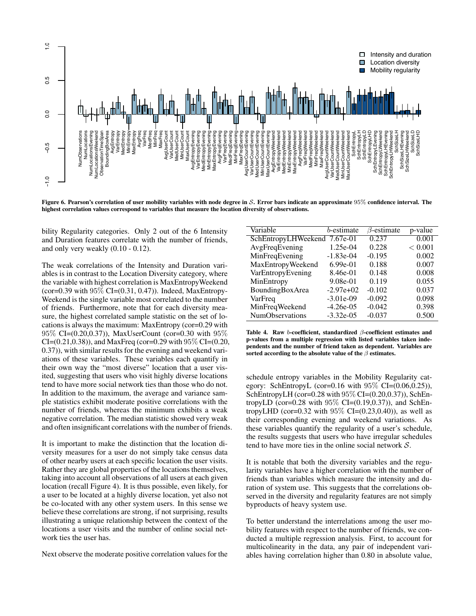

<span id="page-7-0"></span>Figure 6. Pearson's correlation of user mobility variables with node degree in  $S$ . Error bars indicate an approximate  $95\%$  confidence interval. The highest correlation values correspond to variables that measure the location diversity of observations.

bility Regularity categories. Only 2 out of the 6 Intensity and Duration features correlate with the number of friends, and only very weakly (0.10 - 0.12).

The weak correlations of the Intensity and Duration variables is in contrast to the Location Diversity category, where the variable with highest correlation is MaxEntropyWeekend (cor=0.39 with  $95\%$  CI=(0.31, 0.47)). Indeed, MaxEntropy-Weekend is the single variable most correlated to the number of friends. Furthermore, note that for each diversity measure, the highest correlated sample statistic on the set of locations is always the maximum: MaxEntropy (cor=0.29 with 95% CI=(0.20,0.37)), MaxUserCount (cor=0.30 with 95%  $CI=(0.21,0.38)$ , and MaxFreq (cor=0.29 with 95% CI=(0.20, 0.37)), with similar results for the evening and weekend variations of these variables. These variables each quantify in their own way the "most diverse" location that a user visited, suggesting that users who visit highly diverse locations tend to have more social network ties than those who do not. In addition to the maximum, the average and variance sample statistics exhibit moderate positive correlations with the number of friends, whereas the minimum exhibits a weak negative correlation. The median statistic showed very weak and often insignificant correlations with the number of friends.

It is important to make the distinction that the location diversity measures for a user do not simply take census data of other nearby users at each specific location the user visits. Rather they are global properties of the locations themselves, taking into account all observations of all users at each given location (recall Figure [4\)](#page-4-0). It is thus possible, even likely, for a user to be located at a highly diverse location, yet also not be co-located with any other system users. In this sense we believe these correlations are strong, if not surprising, results illustrating a unique relationship between the context of the locations a user visits and the number of online social network ties the user has.

Next observe the moderate positive correlation values for the

| Variable                     | $b$ -estimate | $\beta$ -estimate | p-value |
|------------------------------|---------------|-------------------|---------|
| SchEntropyLHWeekend 7.67e-01 |               | 0.237             | 0.001   |
| AvgFreqEvening               | 1.25e-04      | 0.228             | < 0.001 |
| MinFreqEvening               | $-1.83e-04$   | $-0.195$          | 0.002   |
| MaxEntropyWeekend            | $6.99e-01$    | 0.188             | 0.007   |
| VarEntropyEvening            | $8.46e-01$    | 0.148             | 0.008   |
| MinEntropy                   | 9.08e-01      | 0.119             | 0.055   |
| BoundingBoxArea              | $-2.97e+02$   | $-0.102$          | 0.037   |
| VarFreq                      | $-3.01e-09$   | $-0.092$          | 0.098   |
| MinFreqWeekend               | $-4.26e-05$   | $-0.042$          | 0.398   |
| <b>NumObservations</b>       | $-3.32e-0.5$  | $-0.037$          | 0.500   |

<span id="page-7-1"></span>Table 4. Raw b-coefficient, standardized β-coefficient estimates and p-values from a multiple regression with listed variables taken independents and the number of friend taken as dependent. Variables are sorted according to the absolute value of the  $\beta$  estimates.

schedule entropy variables in the Mobility Regularity category: SchEntropyL (cor=0.16 with  $95\%$  CI=(0.06,0.25)), SchEntropyLH (cor=0.28 with 95% CI=(0.20,0.37)), SchEntropyLD (cor=0.28 with  $95\%$  CI=(0.19,0.37)), and SchEntropyLHD (cor=0.32 with  $95\%$  CI=(0.23,0.40)), as well as their corresponding evening and weekend variations. As these variables quantify the regularity of a user's schedule, the results suggests that users who have irregular schedules tend to have more ties in the online social network  $S$ .

It is notable that both the diversity variables and the regularity variables have a higher correlation with the number of friends than variables which measure the intensity and duration of system use. This suggests that the correlations observed in the diversity and regularity features are not simply byproducts of heavy system use.

To better understand the interrelations among the user mobility features with respect to the number of friends, we conducted a multiple regression analysis. First, to account for multicolinearity in the data, any pair of independent variables having correlation higher than 0.80 in absolute value,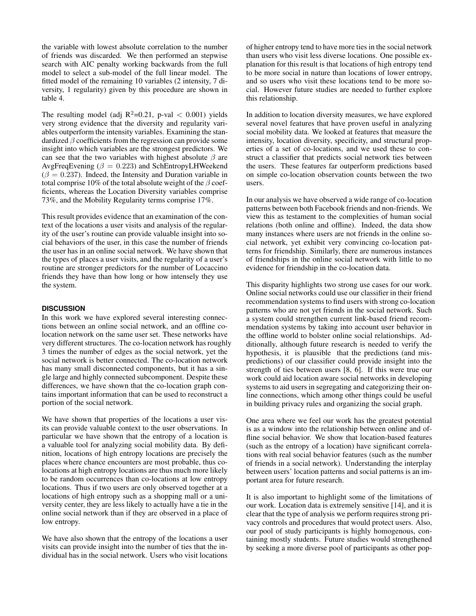the variable with lowest absolute correlation to the number of friends was discarded. We then performed an stepwise search with AIC penalty working backwards from the full model to select a sub-model of the full linear model. The fitted model of the remaining 10 variables (2 intensity, 7 diversity, 1 regularity) given by this procedure are shown in table [4.](#page-7-1)

The resulting model (adj  $R^2=0.21$ , p-val  $\lt 0.001$ ) yields very strong evidence that the diversity and regularity variables outperform the intensity variables. Examining the standardized  $\beta$  coefficients from the regression can provide some insight into which variables are the strongest predictors. We can see that the two variables with highest absolute  $\beta$  are AvgFreqEvening ( $\beta = 0.223$ ) and SchEntropyLHWeekend  $(\beta = 0.237)$ . Indeed, the Intensity and Duration variable in total comprise 10% of the total absolute weight of the  $\beta$  coefficients, whereas the Location Diversity variables comprise 73%, and the Mobility Regularity terms comprise 17%.

This result provides evidence that an examination of the context of the locations a user visits and analysis of the regularity of the user's routine can provide valuable insight into social behaviors of the user, in this case the number of friends the user has in an online social network. We have shown that the types of places a user visits, and the regularity of a user's routine are stronger predictors for the number of Locaccino friends they have than how long or how intensely they use the system.

## **DISCUSSION**

In this work we have explored several interesting connections between an online social network, and an offline colocation network on the same user set. These networks have very different structures. The co-location network has roughly 3 times the number of edges as the social network, yet the social network is better connected. The co-location network has many small disconnected components, but it has a single large and highly connected subcomponent. Despite these differences, we have shown that the co-location graph contains important information that can be used to reconstruct a portion of the social network.

We have shown that properties of the locations a user visits can provide valuable context to the user observations. In particular we have shown that the entropy of a location is a valuable tool for analyzing social mobility data. By definition, locations of high entropy locations are precisely the places where chance encounters are most probable, thus colocations at high entropy locations are thus much more likely to be random occurrences than co-locations at low entropy locations. Thus if two users are only observed together at a locations of high entropy such as a shopping mall or a university center, they are less likely to actually have a tie in the online social network than if they are observed in a place of low entropy.

We have also shown that the entropy of the locations a user visits can provide insight into the number of ties that the individual has in the social network. Users who visit locations of higher entropy tend to have more ties in the social network than users who visit less diverse locations. One possible explanation for this result is that locations of high entropy tend to be more social in nature than locations of lower entropy, and so users who visit these locations tend to be more social. However future studies are needed to further explore this relationship.

In addition to location diversity measures, we have explored several novel features that have proven useful in analyzing social mobility data. We looked at features that measure the intensity, location diversity, specificity, and structural properties of a set of co-locations, and we used these to construct a classifier that predicts social network ties between the users. These features far outperform predictions based on simple co-location observation counts between the two users.

In our analysis we have observed a wide range of co-location patterns between both Facebook friends and non-friends. We view this as testament to the complexities of human social relations (both online and offline). Indeed, the data show many instances where users are not friends in the online social network, yet exhibit very convincing co-location patterns for friendship. Similarly, there are numerous instances of friendships in the online social network with little to no evidence for friendship in the co-location data.

This disparity highlights two strong use cases for our work. Online social networks could use our classifier in their friend recommendation systems to find users with strong co-location patterns who are not yet friends in the social network. Such a system could strengthen current link-based friend recommendation systems by taking into account user behavior in the offline world to bolster online social relationships. Additionally, although future research is needed to verify the hypothesis, it is plausible that the predictions (and mispredictions) of our classifier could provide insight into the strength of ties between users [\[8,](#page-9-12) [6\]](#page-9-13). If this were true our work could aid location aware social networks in developing systems to aid users in segregating and categorizing their online connections, which among other things could be useful in building privacy rules and organizing the social graph.

One area where we feel our work has the greatest potential is as a window into the relationship between online and offline social behavior. We show that location-based features (such as the entropy of a location) have significant correlations with real social behavior features (such as the number of friends in a social network). Understanding the interplay between users' location patterns and social patterns is an important area for future research.

It is also important to highlight some of the limitations of our work. Location data is extremely sensitive [\[14\]](#page-9-6), and it is clear that the type of analysis we perform requires strong privacy controls and procedures that would protect users. Also, our pool of study participants is highly homogenous, containing mostly students. Future studies would strengthened by seeking a more diverse pool of participants as other pop